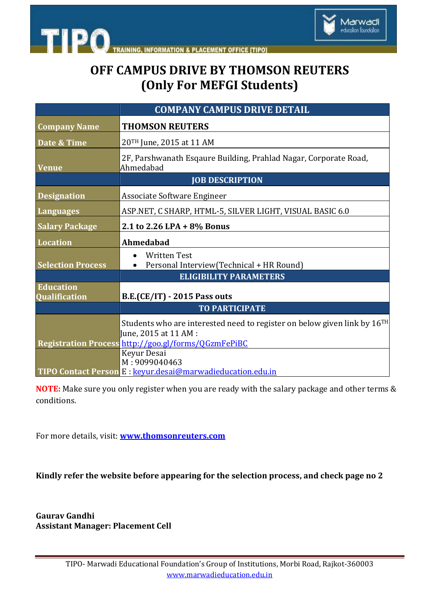



Marwadi education foundation

|                                          | <b>COMPANY CAMPUS DRIVE DETAIL</b>                                                                                                                |
|------------------------------------------|---------------------------------------------------------------------------------------------------------------------------------------------------|
| <b>Company Name</b>                      | <b>THOMSON REUTERS</b>                                                                                                                            |
| Date & Time                              | 20TH June, 2015 at 11 AM                                                                                                                          |
| <b>Venue</b>                             | 2F, Parshwanath Esqaure Building, Prahlad Nagar, Corporate Road,<br>Ahmedabad                                                                     |
|                                          | <b>JOB DESCRIPTION</b>                                                                                                                            |
| <b>Designation</b>                       | Associate Software Engineer                                                                                                                       |
| Languages                                | ASP.NET, C SHARP, HTML-5, SILVER LIGHT, VISUAL BASIC 6.0                                                                                          |
| <b>Salary Package</b>                    | 2.1 to 2.26 LPA + 8% Bonus                                                                                                                        |
| <b>Location</b>                          | Ahmedabad                                                                                                                                         |
| <b>Selection Process</b>                 | <b>Written Test</b><br>Personal Interview(Technical + HR Round)                                                                                   |
|                                          | <b>ELIGIBILITY PARAMETERS</b>                                                                                                                     |
| <b>Education</b><br><b>Qualification</b> | <b>B.E.(CE/IT) - 2015 Pass outs</b>                                                                                                               |
|                                          | <b>TO PARTICIPATE</b>                                                                                                                             |
|                                          | Students who are interested need to register on below given link by 16 <sup>TH</sup><br>June, 2015 at 11 AM :                                     |
|                                          | Registration Process http://goo.gl/forms/QGzmFePiBC<br>Keyur Desai<br>M: 9099040463<br>TIPO Contact Person E: keyur.desai@marwadieducation.edu.in |

**NOTE:** Make sure you only register when you are ready with the salary package and other terms & conditions.

For more details, visit: **[www.thomsonreuters.com](file:///C:\Users\Administrator\Desktop\www.thomsonreuters.com)**

**Kindly refer the website before appearing for the selection process, and check page no 2**

**Gaurav Gandhi Assistant Manager: Placement Cell**